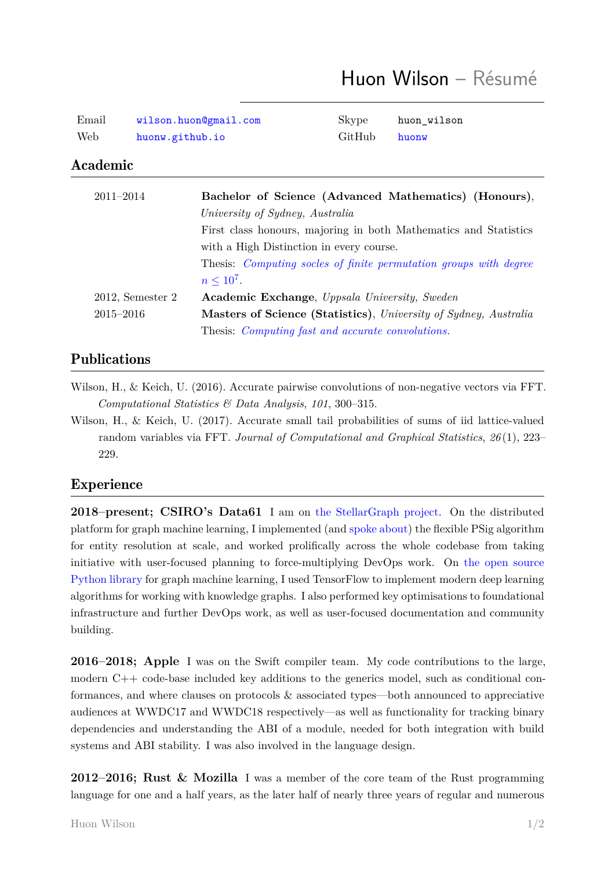| Email | wilson.huon@gmail.com | Skype        | huon wilson |
|-------|-----------------------|--------------|-------------|
| Web   | huonw.github.io       | GitHub huonw |             |

# Academic

| $2011 - 2014$       | Bachelor of Science (Advanced Mathematics) (Honours),                    |
|---------------------|--------------------------------------------------------------------------|
|                     | University of Sydney, Australia                                          |
|                     | First class honours, majoring in both Mathematics and Statistics         |
|                     | with a High Distinction in every course.                                 |
|                     | Thesis: <i>Computing socles of finite permutation groups with degree</i> |
|                     | $n \leq 10^7$ .                                                          |
| $2012$ , Semester 2 | <b>Academic Exchange</b> , <i>Uppsala University</i> , <i>Sweden</i>     |
| $2015 - 2016$       | Masters of Science (Statistics), University of Sydney, Australia         |
|                     | Thesis: <i>Computing fast and accurate convolutions</i> .                |

## Publications

- Wilson, H., & Keich, U. (2016). A[ccurate pairwise convolutions of non-negat](https://ses.library.usyd.edu.au/bitstream/handle/2123/15169/wilson_hg_thesis.pdf?sequence=1)ive vectors via FFT. *Computational Statistics & Data Analysis*, *101*, 300–315.
- Wilson, H., & Keich, U. (2017). Accurate small tail probabilities of sums of iid lattice-valued random variables via FFT. *Journal of Computational and Graphical Statistics*, *26* (1), 223– 229.

### Experience

**2018–present; CSIRO's Data61** I am on the StellarGraph project. On the distributed platform for graph machine learning, I implemented (and spoke about) the flexible PSig algorithm for entity resolution at scale, and worked prolifically across the whole codebase from taking initiative with user-focused planning to force-m[ultiplying DevOps work.](https://www.stellargraph.io/) On the open source Python library for graph machine learning, I used Tensor[Flow to imple](https://yowconference.com/talks/huon-wilson/yow-data-2019/entity-resolution-at-scale-9765)ment modern deep learning algorithms for working with knowledge graphs. I also performed key optimisations to foundational infrastructure and further DevOps work, as well as user-focused documentation [and community](https://github.com/stellargraph/stellargraph) [building.](https://github.com/stellargraph/stellargraph)

**2016–2018; Apple** I was on the Swift compiler team. My code contributions to the large, modern C++ code-base included key additions to the generics model, such as conditional conformances, and where clauses on protocols & associated types—both announced to appreciative audiences at WWDC17 and WWDC18 respectively—as well as functionality for tracking binary dependencies and understanding the ABI of a module, needed for both integration with build systems and ABI stability. I was also involved in the language design.

**2012–2016; Rust & Mozilla** I was a member of the core team of the Rust programming language for one and a half years, as the later half of nearly three years of regular and numerous